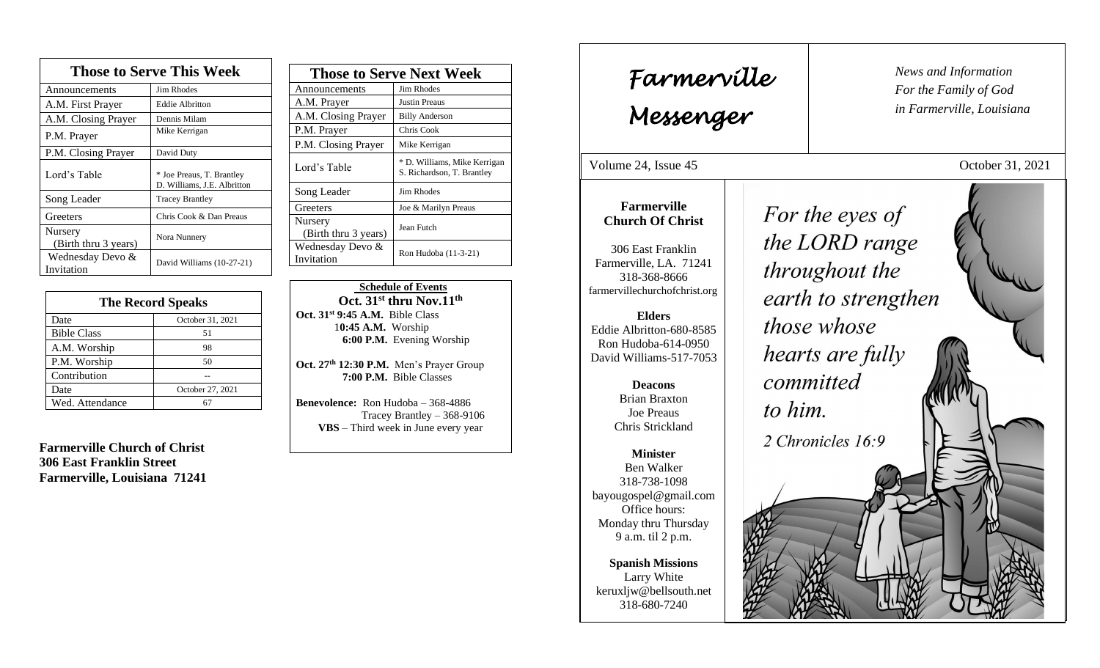| <b>Those to Serve This Week</b>        |                                                          |
|----------------------------------------|----------------------------------------------------------|
| Announcements                          | <b>Jim Rhodes</b>                                        |
| A.M. First Prayer                      | <b>Eddie Albritton</b>                                   |
| A.M. Closing Prayer                    | Dennis Milam                                             |
| P.M. Prayer                            | Mike Kerrigan                                            |
| P.M. Closing Prayer                    | David Duty                                               |
| Lord's Table                           | * Joe Preaus, T. Brantley<br>D. Williams, J.E. Albritton |
| Song Leader                            | <b>Tracey Brantley</b>                                   |
| Greeters                               | Chris Cook & Dan Preaus                                  |
| <b>Nursery</b><br>(Birth thru 3 years) | Nora Nunnery                                             |
| Wednesday Devo &<br>Invitation         | David Williams (10-27-21)                                |

| <b>The Record Speaks</b> |                  |
|--------------------------|------------------|
| Date                     | October 31, 2021 |
| <b>Bible Class</b>       | 51               |
| A.M. Worship             | 98               |
| P.M. Worship             | 50               |
| Contribution             |                  |
| Date                     | October 27, 2021 |
| Wed. Attendance          |                  |

**Farmerville Church of Christ 306 East Franklin Street Farmerville, Louisiana 71241**

| <b>Those to Serve Next Week</b> |                                                            |
|---------------------------------|------------------------------------------------------------|
| Announcements                   | Jim Rhodes                                                 |
| A.M. Prayer                     | Justin Preaus                                              |
| A.M. Closing Prayer             | <b>Billy Anderson</b>                                      |
| P.M. Prayer                     | Chris Cook                                                 |
| P.M. Closing Prayer             | Mike Kerrigan                                              |
| Lord's Table                    | * D. Williams, Mike Kerrigan<br>S. Richardson, T. Brantley |
| Song Leader                     | Jim Rhodes                                                 |
| Greeters                        | Joe & Marilyn Preaus                                       |
| Nursery<br>(Birth thru 3 years) | Jean Futch                                                 |
| Wednesday Devo &<br>Invitation  | Ron Hudoba (11-3-21)                                       |

, 2015

 **Schedule of Events Oct. 31st thru Nov.11th Oct. 31st 9:45 A.M.** Bible Class 1**0:45 A.M.** Worship  **6:00 P.M.** Evening Worship

**Oct. 27 th 12:30 P.M.** Men's Prayer Group **7:00 P.M.** Bible Classes

**Benevolence:** Ron Hudoba – 368-4886 Tracey Brantley – 368-9106 **VBS** – Third week in June every year

*News and Information* **Farmerville**  $\parallel$  News and *For the Family of God in Farmerville, Louisiana Messenger*  Volume 24, Issue 45 October 31, 2021 **Farmerville** For the eyes of **Church Of Christ** the LORD range 306 East Franklin Farmerville, LA. 71241 throughout the 318-368-8666 farmervillechurchofchrist.org earth to strengthen **Elders** those whose Eddie Albritton-680-8585 Ron Hudoba-614-0950 hearts are fully David Williams-517-7053 committed **Deacons**  Brian Braxton to him. Joe Preaus Chris Strickland 2 Chronicles 16:9 **Minister** Ben Walker 318-738-1098 bayougospel@gmail.com Office hours: Monday thru Thursday 9 a.m. til 2 p.m. **Spanish Missions** Larry White keruxljw@bellsouth.net 318-680-7240